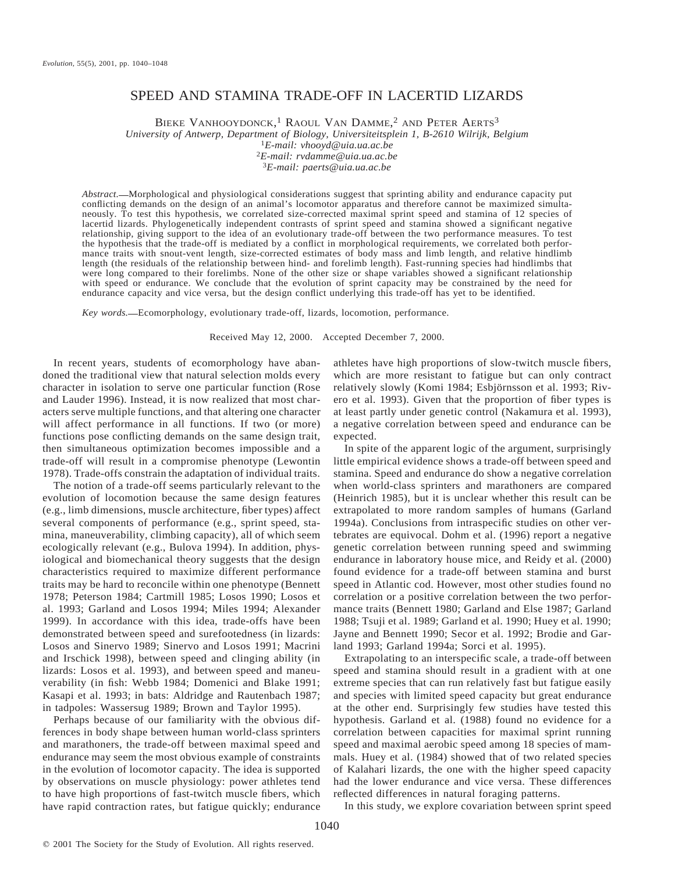# SPEED AND STAMINA TRADE-OFF IN LACERTID LIZARDS

BIEKE VANHOOYDONCK,<sup>1</sup> RAOUL VAN DAMME,<sup>2</sup> AND PETER AERTS<sup>3</sup>

*University of Antwerp, Department of Biology, Universiteitsplein 1, B-2610 Wilrijk, Belgium* <sup>1</sup>*E-mail: vhooyd@uia.ua.ac.be*

<sup>2</sup>*E-mail: rvdamme@uia.ua.ac.be*

<sup>3</sup>*E-mail: paerts@uia.ua.ac.be*

*Abstract.* Morphological and physiological considerations suggest that sprinting ability and endurance capacity put conflicting demands on the design of an animal's locomotor apparatus and therefore cannot be maximized simultaneously. To test this hypothesis, we correlated size-corrected maximal sprint speed and stamina of 12 species of lacertid lizards. Phylogenetically independent contrasts of sprint speed and stamina showed a significant negative relationship, giving support to the idea of an evolutionary trade-off between the two performance measures. To test the hypothesis that the trade-off is mediated by a conflict in morphological requirements, we correlated both performance traits with snout-vent length, size-corrected estimates of body mass and limb length, and relative hindlimb length (the residuals of the relationship between hind- and forelimb length). Fast-running species had hindlimbs that were long compared to their forelimbs. None of the other size or shape variables showed a significant relationship with speed or endurance. We conclude that the evolution of sprint capacity may be constrained by the need for endurance capacity and vice versa, but the design conflict underlying this trade-off has yet to be identified.

*Key words.* Ecomorphology, evolutionary trade-off, lizards, locomotion, performance.

Received May 12, 2000. Accepted December 7, 2000.

In recent years, students of ecomorphology have abandoned the traditional view that natural selection molds every character in isolation to serve one particular function (Rose and Lauder 1996). Instead, it is now realized that most characters serve multiple functions, and that altering one character will affect performance in all functions. If two (or more) functions pose conflicting demands on the same design trait, then simultaneous optimization becomes impossible and a trade-off will result in a compromise phenotype (Lewontin 1978). Trade-offs constrain the adaptation of individual traits.

The notion of a trade-off seems particularly relevant to the evolution of locomotion because the same design features (e.g., limb dimensions, muscle architecture, fiber types) affect several components of performance (e.g., sprint speed, stamina, maneuverability, climbing capacity), all of which seem ecologically relevant (e.g., Bulova 1994). In addition, physiological and biomechanical theory suggests that the design characteristics required to maximize different performance traits may be hard to reconcile within one phenotype (Bennett 1978; Peterson 1984; Cartmill 1985; Losos 1990; Losos et al. 1993; Garland and Losos 1994; Miles 1994; Alexander 1999). In accordance with this idea, trade-offs have been demonstrated between speed and surefootedness (in lizards: Losos and Sinervo 1989; Sinervo and Losos 1991; Macrini and Irschick 1998), between speed and clinging ability (in lizards: Losos et al. 1993), and between speed and maneuverability (in fish: Webb 1984; Domenici and Blake 1991; Kasapi et al. 1993; in bats: Aldridge and Rautenbach 1987; in tadpoles: Wassersug 1989; Brown and Taylor 1995).

Perhaps because of our familiarity with the obvious differences in body shape between human world-class sprinters and marathoners, the trade-off between maximal speed and endurance may seem the most obvious example of constraints in the evolution of locomotor capacity. The idea is supported by observations on muscle physiology: power athletes tend to have high proportions of fast-twitch muscle fibers, which have rapid contraction rates, but fatigue quickly; endurance athletes have high proportions of slow-twitch muscle fibers, which are more resistant to fatigue but can only contract relatively slowly (Komi 1984; Esbjörnsson et al. 1993; Rivero et al. 1993). Given that the proportion of fiber types is at least partly under genetic control (Nakamura et al. 1993), a negative correlation between speed and endurance can be expected.

In spite of the apparent logic of the argument, surprisingly little empirical evidence shows a trade-off between speed and stamina. Speed and endurance do show a negative correlation when world-class sprinters and marathoners are compared (Heinrich 1985), but it is unclear whether this result can be extrapolated to more random samples of humans (Garland 1994a). Conclusions from intraspecific studies on other vertebrates are equivocal. Dohm et al. (1996) report a negative genetic correlation between running speed and swimming endurance in laboratory house mice, and Reidy et al. (2000) found evidence for a trade-off between stamina and burst speed in Atlantic cod. However, most other studies found no correlation or a positive correlation between the two performance traits (Bennett 1980; Garland and Else 1987; Garland 1988; Tsuji et al. 1989; Garland et al. 1990; Huey et al. 1990; Jayne and Bennett 1990; Secor et al. 1992; Brodie and Garland 1993; Garland 1994a; Sorci et al. 1995).

Extrapolating to an interspecific scale, a trade-off between speed and stamina should result in a gradient with at one extreme species that can run relatively fast but fatigue easily and species with limited speed capacity but great endurance at the other end. Surprisingly few studies have tested this hypothesis. Garland et al. (1988) found no evidence for a correlation between capacities for maximal sprint running speed and maximal aerobic speed among 18 species of mammals. Huey et al. (1984) showed that of two related species of Kalahari lizards, the one with the higher speed capacity had the lower endurance and vice versa. These differences reflected differences in natural foraging patterns.

In this study, we explore covariation between sprint speed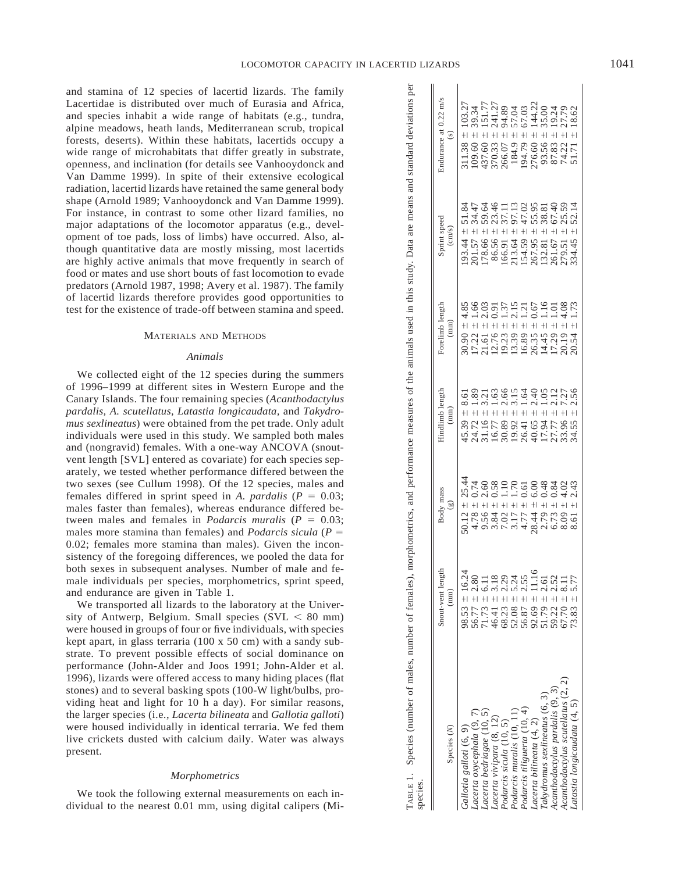and stamina of 12 species of lacertid lizards. The family Lacertidae is distributed over much of Eurasia and Africa, and species inhabit a wide range of habitats (e.g., tundra, alpine meadows, heath lands, Mediterranean scrub, tropical forests, deserts). Within these habitats, lacertids occupy a wide range of microhabitats that differ greatly in substrate, openness, and inclination (for details see Vanhooydonck and Van Damme 1999). In spite of their extensive ecological radiation, lacertid lizards have retained the same general body shape (Arnold 1989; Vanhooydonck and Van Damme 1999). For instance, in contrast to some other lizard families, no major adaptations of the locomotor apparatus (e.g., development of toe pads, loss of limbs) have occurred. Also, although quantitative data are mostly missing, most lacertids are highly active animals that move frequently in search of food or mates and use short bouts of fast locomotion to evade predators (Arnold 1987, 1998; Avery et al. 1987). The family of lacertid lizards therefore provides good opportunities to test for the existence of trade-off between stamina and speed.

#### MATERIALS AND METHODS

### *Animals*

We collected eight of the 12 species during the summers of 1996–1999 at different sites in Western Europe and the Canary Islands. The four remaining species (*Acanthodactylus pardalis, A. scutellatus, Latastia longicaudata,* and *Takydromus sexlineatus*) were obtained from the pet trade. Only adult individuals were used in this study. We sampled both males and (nongravid) females. With a one-way ANCOVA (snoutvent length [SVL] entered as covariate) for each species separately, we tested whether performance differed between the two sexes (see Cullum 1998). Of the 12 species, males and females differed in sprint speed in *A. pardalis* ( $P = 0.03$ ; males faster than females), whereas endurance differed between males and females in *Podarcis muralis* ( $P = 0.03$ ; males more stamina than females) and *Podarcis sicula* ( $P =$ 0.02; females more stamina than males). Given the inconsistency of the foregoing differences, we pooled the data for both sexes in subsequent analyses. Number of male and female individuals per species, morphometrics, sprint speed, and endurance are given in Table 1.

We transported all lizards to the laboratory at the University of Antwerp, Belgium. Small species ( $SVL < 80$  mm) were housed in groups of four or five individuals, with species kept apart, in glass terraria (100 x 50 cm) with a sandy substrate. To prevent possible effects of social dominance on performance (John-Alder and Joos 1991; John-Alder et al. 1996), lizards were offered access to many hiding places (flat stones) and to several basking spots (100-W light/bulbs, providing heat and light for 10 h a day). For similar reasons, the larger species (i.e., *Lacerta bilineata* and *Gallotia galloti*) were housed individually in identical terraria. We fed them live crickets dusted with calcium daily. Water was always present.

## *Morphometrics*

We took the following external measurements on each individual to the nearest 0.01 mm, using digital calipers (Mi-

| TABLE 1. Species (number of males, number of females), morphometrics, and performance measures of the animals used in this study. Data are means and standard deviations per<br>species. |                           |                                                                                                            |                                                                              |                                                                  |                                                                                                      |                                        |
|------------------------------------------------------------------------------------------------------------------------------------------------------------------------------------------|---------------------------|------------------------------------------------------------------------------------------------------------|------------------------------------------------------------------------------|------------------------------------------------------------------|------------------------------------------------------------------------------------------------------|----------------------------------------|
| Species (N)                                                                                                                                                                              | Snout-vent length<br>(mm) | Body mass<br>છે                                                                                            | Hindlimb length<br>(mm)                                                      | Forelimb length<br>mm                                            | Sprint speed<br>$\text{cm/s}$ )                                                                      | Endurance at 0.22 m/s<br>$\widehat{s}$ |
| Gallotia galloti (6, 9)                                                                                                                                                                  | $98.53 \pm 16.24$         | 25.44                                                                                                      | 8.61<br>$45.39 =$                                                            | 4.85<br>30.90                                                    | 51.84<br>$193.44 \pm$                                                                                | 103.27<br>$311.38 +$                   |
| Lacerta oxycephala (9, 7)                                                                                                                                                                | $56.77 \pm 2.80$          | $50.12 \pm 1$<br>4.78 $\pm$ 0                                                                              | $^{89}$<br>$24.72 +$                                                         | 1.66<br>17.22                                                    |                                                                                                      | 39.34<br>$109.60 \pm$                  |
| Lacerta bedriagae (10, 5)                                                                                                                                                                | $11.73 \pm 6.11$          | 2.60<br>$9.56 \pm 7$                                                                                       | $\tilde{\omega}$<br>$31.16 \pm$                                              | 2.03<br>$21.61$ :                                                | 59.64<br>$178.66 \pm$                                                                                | $437.60 +$                             |
| Lacerta vivipara (8, 12)                                                                                                                                                                 | $46.41 \pm 3.18$          |                                                                                                            | $\ddot{6}$<br>$16.77 \pm$                                                    | 0.91<br>12.76                                                    | 23.46<br>%6.56 ±                                                                                     | 241.27<br>$370.33 \pm$                 |
| Podarcis sicula (10, 5)                                                                                                                                                                  | $68.23 \pm 2.29$          | $\frac{0.58}{1.10}$                                                                                        | 30.89                                                                        |                                                                  | 37.11<br>$166.91 \pm$                                                                                | 94.89<br>266.07 ±                      |
| Podarcis muralis (10, 11)                                                                                                                                                                | $52.08 \pm 5.24$          | 0(1)                                                                                                       |                                                                              | 19.23<br>13.39                                                   | 97.13                                                                                                | 57.04<br>$184.9 \pm$                   |
| Podarcis tiliguerta (10, 4)                                                                                                                                                              | $56.87 \pm 2.55$          | 0.61<br>$\begin{array}{r} 3.84 \pm 1 \\ 7.02 \pm 1 \\ 3.17 \pm 1 \\ 4.77 \pm 1 \\ 28.44 \pm 1 \end{array}$ | $2.56$<br>$3.15$<br>$1.64$<br>$19.92 \pm 19.41 \pm 26.41 \pm 1$<br>40.65 ± 1 | $\begin{array}{c} 1.37 \\ 2.15 \\ 1.21 \end{array}$<br>$16.89 -$ | 47.02<br>$\begin{array}{r} 213.64 \pm 1 \\ 154.59 \pm 1 \\ 267.95 \pm 1 \\ 132.81 \pm 1 \end{array}$ | 67.03<br>$194.79 \pm$                  |
| Lacerta bilineata (4, 2)                                                                                                                                                                 | 11.16<br>$92.69 \pm 1$    | 6.00                                                                                                       |                                                                              | 0.67<br>$\ddagger$<br>26.35                                      | 55.95                                                                                                | 144.22<br>$276.60 =$                   |
| Takydromus sextineatus (6, 3)                                                                                                                                                            | $51.79 \pm 2.61$          | 0.48                                                                                                       | 2.40<br>1.05<br>$17.94 \pm$                                                  | 1.16<br>14.45                                                    | 38.81                                                                                                | $93.56 \pm$                            |
| Acanthodactylus pardalis (9, 3)                                                                                                                                                          | $59.22 \pm 2.52$          | 0.84<br>$2.79 = 6.73$                                                                                      | $+1$<br>27.77                                                                | 1.01<br>17.29                                                    |                                                                                                      | $+$<br>87.83                           |
| Acanthodactylus scutellatus (2, 2)                                                                                                                                                       | $67.70 \pm 8.11$          | $\frac{0}{1}$<br>$\frac{0}{4}$<br>8.09                                                                     | 2.127<br>7.27<br>$33.96 \pm$                                                 | 4.08<br>20.19                                                    |                                                                                                      | 27.79<br>74.22                         |
| Latastia longicaudata (4, 5)                                                                                                                                                             | $73.83 \pm 5.77$          | 8.61                                                                                                       | 2.56<br>$+1$<br>34.55 :                                                      | 1.73<br>20.54                                                    | $261.67 \pm 67.40$<br>$279.51 \pm 25.59$<br>$334.45 \pm 52.14$                                       | 18.62<br>$51.71$ $^{\circ}$            |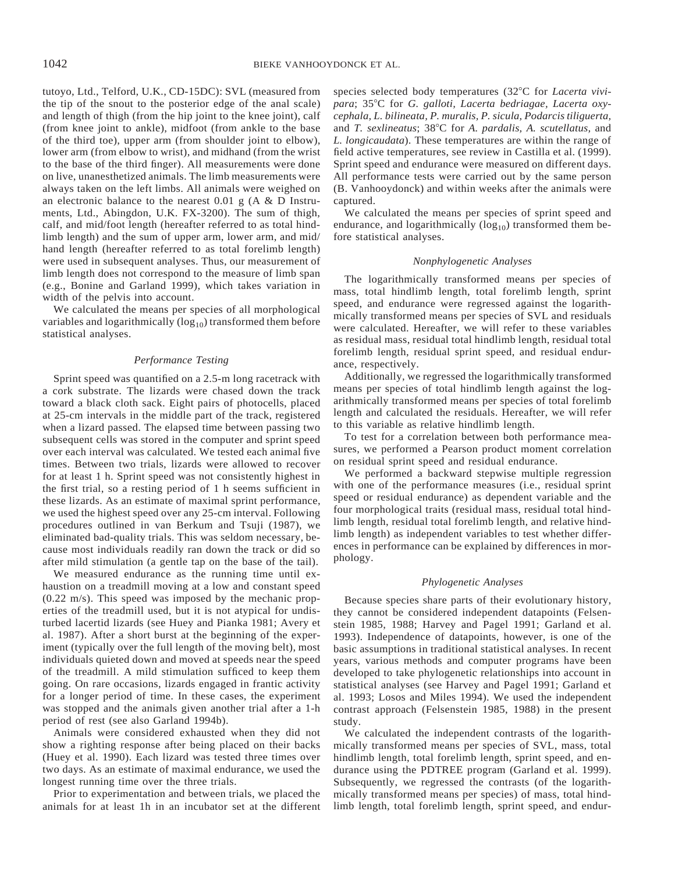tutoyo, Ltd., Telford, U.K., CD-15DC): SVL (measured from the tip of the snout to the posterior edge of the anal scale) and length of thigh (from the hip joint to the knee joint), calf (from knee joint to ankle), midfoot (from ankle to the base of the third toe), upper arm (from shoulder joint to elbow), lower arm (from elbow to wrist), and midhand (from the wrist to the base of the third finger). All measurements were done on live, unanesthetized animals. The limb measurements were always taken on the left limbs. All animals were weighed on an electronic balance to the nearest 0.01 g (A & D Instruments, Ltd., Abingdon, U.K. FX-3200). The sum of thigh, calf, and mid/foot length (hereafter referred to as total hindlimb length) and the sum of upper arm, lower arm, and mid/ hand length (hereafter referred to as total forelimb length) were used in subsequent analyses. Thus, our measurement of limb length does not correspond to the measure of limb span (e.g., Bonine and Garland 1999), which takes variation in width of the pelvis into account.

We calculated the means per species of all morphological variables and logarithmically  $(log_{10})$  transformed them before statistical analyses.

## *Performance Testing*

Sprint speed was quantified on a 2.5-m long racetrack with a cork substrate. The lizards were chased down the track toward a black cloth sack. Eight pairs of photocells, placed at 25-cm intervals in the middle part of the track, registered when a lizard passed. The elapsed time between passing two subsequent cells was stored in the computer and sprint speed over each interval was calculated. We tested each animal five times. Between two trials, lizards were allowed to recover for at least 1 h. Sprint speed was not consistently highest in the first trial, so a resting period of 1 h seems sufficient in these lizards. As an estimate of maximal sprint performance, we used the highest speed over any 25-cm interval. Following procedures outlined in van Berkum and Tsuji (1987), we eliminated bad-quality trials. This was seldom necessary, because most individuals readily ran down the track or did so after mild stimulation (a gentle tap on the base of the tail).

We measured endurance as the running time until exhaustion on a treadmill moving at a low and constant speed (0.22 m/s). This speed was imposed by the mechanic properties of the treadmill used, but it is not atypical for undisturbed lacertid lizards (see Huey and Pianka 1981; Avery et al. 1987). After a short burst at the beginning of the experiment (typically over the full length of the moving belt), most individuals quieted down and moved at speeds near the speed of the treadmill. A mild stimulation sufficed to keep them going. On rare occasions, lizards engaged in frantic activity for a longer period of time. In these cases, the experiment was stopped and the animals given another trial after a 1-h period of rest (see also Garland 1994b).

Animals were considered exhausted when they did not show a righting response after being placed on their backs (Huey et al. 1990). Each lizard was tested three times over two days. As an estimate of maximal endurance, we used the longest running time over the three trials.

Prior to experimentation and between trials, we placed the animals for at least 1h in an incubator set at the different species selected body temperatures (32°C for *Lacerta vivi*para; 35°C for *G. galloti, Lacerta bedriagae, Lacerta oxycephala, L. bilineata, P. muralis, P. sicula, Podarcis tiliguerta,* and *T. sexlineatus*; 38°C for *A. pardalis*, *A. scutellatus*, and *L. longicaudata*). These temperatures are within the range of field active temperatures, see review in Castilla et al. (1999). Sprint speed and endurance were measured on different days. All performance tests were carried out by the same person (B. Vanhooydonck) and within weeks after the animals were captured.

We calculated the means per species of sprint speed and endurance, and logarithmically  $(log_{10})$  transformed them before statistical analyses.

# *Nonphylogenetic Analyses*

The logarithmically transformed means per species of mass, total hindlimb length, total forelimb length, sprint speed, and endurance were regressed against the logarithmically transformed means per species of SVL and residuals were calculated. Hereafter, we will refer to these variables as residual mass, residual total hindlimb length, residual total forelimb length, residual sprint speed, and residual endurance, respectively.

Additionally, we regressed the logarithmically transformed means per species of total hindlimb length against the logarithmically transformed means per species of total forelimb length and calculated the residuals. Hereafter, we will refer to this variable as relative hindlimb length.

To test for a correlation between both performance measures, we performed a Pearson product moment correlation on residual sprint speed and residual endurance.

We performed a backward stepwise multiple regression with one of the performance measures (i.e., residual sprint speed or residual endurance) as dependent variable and the four morphological traits (residual mass, residual total hindlimb length, residual total forelimb length, and relative hindlimb length) as independent variables to test whether differences in performance can be explained by differences in morphology.

# *Phylogenetic Analyses*

Because species share parts of their evolutionary history, they cannot be considered independent datapoints (Felsenstein 1985, 1988; Harvey and Pagel 1991; Garland et al. 1993). Independence of datapoints, however, is one of the basic assumptions in traditional statistical analyses. In recent years, various methods and computer programs have been developed to take phylogenetic relationships into account in statistical analyses (see Harvey and Pagel 1991; Garland et al. 1993; Losos and Miles 1994). We used the independent contrast approach (Felsenstein 1985, 1988) in the present study.

We calculated the independent contrasts of the logarithmically transformed means per species of SVL, mass, total hindlimb length, total forelimb length, sprint speed, and endurance using the PDTREE program (Garland et al. 1999). Subsequently, we regressed the contrasts (of the logarithmically transformed means per species) of mass, total hindlimb length, total forelimb length, sprint speed, and endur-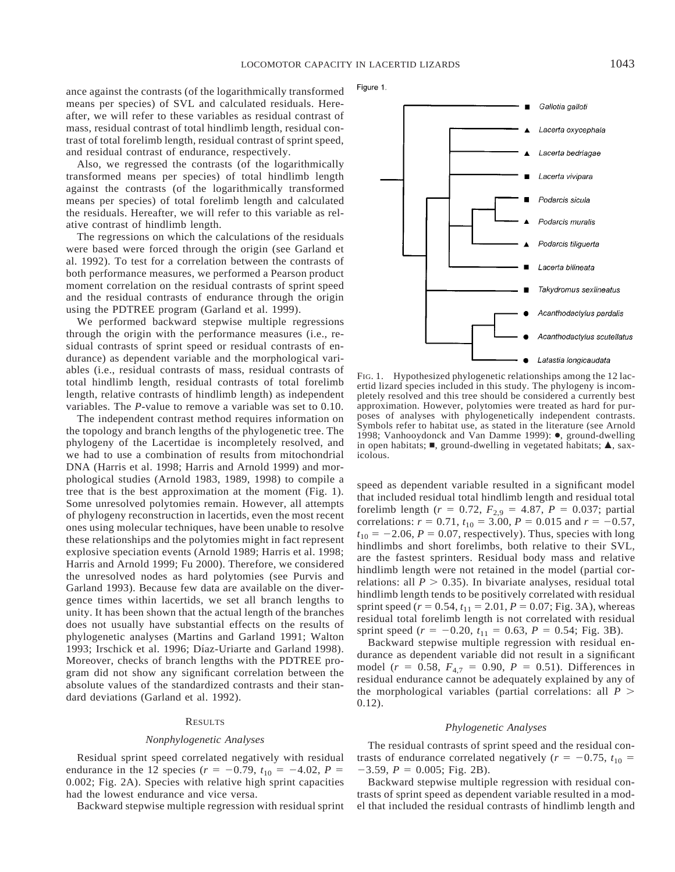Figure 1.

ance against the contrasts (of the logarithmically transformed means per species) of SVL and calculated residuals. Hereafter, we will refer to these variables as residual contrast of mass, residual contrast of total hindlimb length, residual contrast of total forelimb length, residual contrast of sprint speed, and residual contrast of endurance, respectively.

Also, we regressed the contrasts (of the logarithmically transformed means per species) of total hindlimb length against the contrasts (of the logarithmically transformed means per species) of total forelimb length and calculated the residuals. Hereafter, we will refer to this variable as relative contrast of hindlimb length.

The regressions on which the calculations of the residuals were based were forced through the origin (see Garland et al. 1992). To test for a correlation between the contrasts of both performance measures, we performed a Pearson product moment correlation on the residual contrasts of sprint speed and the residual contrasts of endurance through the origin using the PDTREE program (Garland et al. 1999).

We performed backward stepwise multiple regressions through the origin with the performance measures (i.e., residual contrasts of sprint speed or residual contrasts of endurance) as dependent variable and the morphological variables (i.e., residual contrasts of mass, residual contrasts of total hindlimb length, residual contrasts of total forelimb length, relative contrasts of hindlimb length) as independent variables. The *P*-value to remove a variable was set to 0.10.

The independent contrast method requires information on the topology and branch lengths of the phylogenetic tree. The phylogeny of the Lacertidae is incompletely resolved, and we had to use a combination of results from mitochondrial DNA (Harris et al. 1998; Harris and Arnold 1999) and morphological studies (Arnold 1983, 1989, 1998) to compile a tree that is the best approximation at the moment (Fig. 1). Some unresolved polytomies remain. However, all attempts of phylogeny reconstruction in lacertids, even the most recent ones using molecular techniques, have been unable to resolve these relationships and the polytomies might in fact represent explosive speciation events (Arnold 1989; Harris et al. 1998; Harris and Arnold 1999; Fu 2000). Therefore, we considered the unresolved nodes as hard polytomies (see Purvis and Garland 1993). Because few data are available on the divergence times within lacertids, we set all branch lengths to unity. It has been shown that the actual length of the branches does not usually have substantial effects on the results of phylogenetic analyses (Martins and Garland 1991; Walton 1993; Irschick et al. 1996; Díaz-Uriarte and Garland 1998). Moreover, checks of branch lengths with the PDTREE program did not show any significant correlation between the absolute values of the standardized contrasts and their standard deviations (Garland et al. 1992).

## **RESULTS**

## *Nonphylogenetic Analyses*

Residual sprint speed correlated negatively with residual endurance in the 12 species ( $r = -0.79$ ,  $t_{10} = -4.02$ ,  $P =$ 0.002; Fig. 2A). Species with relative high sprint capacities had the lowest endurance and vice versa.

Backward stepwise multiple regression with residual sprint



ertid lizard species included in this study. The phylogeny is incompletely resolved and this tree should be considered a currently best approximation. However, polytomies were treated as hard for purposes of analyses with phylogenetically independent contrasts. Symbols refer to habitat use, as stated in the literature (see Arnold 1998; Vanhooydonck and Van Damme 1999): ●, ground-dwelling in open habitats;  $\blacksquare$ , ground-dwelling in vegetated habitats;  $\blacktriangle$ , saxicolous.

speed as dependent variable resulted in a significant model that included residual total hindlimb length and residual total forelimb length ( $r = 0.72$ ,  $F_{2,9} = 4.87$ ,  $P = 0.037$ ; partial correlations:  $r = 0.71$ ,  $t_{10} = 3.00$ ,  $P = 0.015$  and  $r = -0.57$ ,  $t_{10} = -2.06$ ,  $P = 0.07$ , respectively). Thus, species with long hindlimbs and short forelimbs, both relative to their SVL, are the fastest sprinters. Residual body mass and relative hindlimb length were not retained in the model (partial correlations: all  $P > 0.35$ ). In bivariate analyses, residual total hindlimb length tends to be positively correlated with residual sprint speed ( $r = 0.54$ ,  $t_{11} = 2.01$ ,  $P = 0.07$ ; Fig. 3A), whereas residual total forelimb length is not correlated with residual sprint speed ( $r = -0.20$ ,  $t_{11} = 0.63$ ,  $P = 0.54$ ; Fig. 3B).

Backward stepwise multiple regression with residual endurance as dependent variable did not result in a significant model ( $r = 0.58$ ,  $F_{4,7} = 0.90$ ,  $P = 0.51$ ). Differences in residual endurance cannot be adequately explained by any of the morphological variables (partial correlations: all  $P$ ) 0.12).

# *Phylogenetic Analyses*

The residual contrasts of sprint speed and the residual contrasts of endurance correlated negatively ( $r = -0.75$ ,  $t_{10}$ )  $-3.59$ ,  $P = 0.005$ ; Fig. 2B).

Backward stepwise multiple regression with residual contrasts of sprint speed as dependent variable resulted in a model that included the residual contrasts of hindlimb length and

Gallotia galloti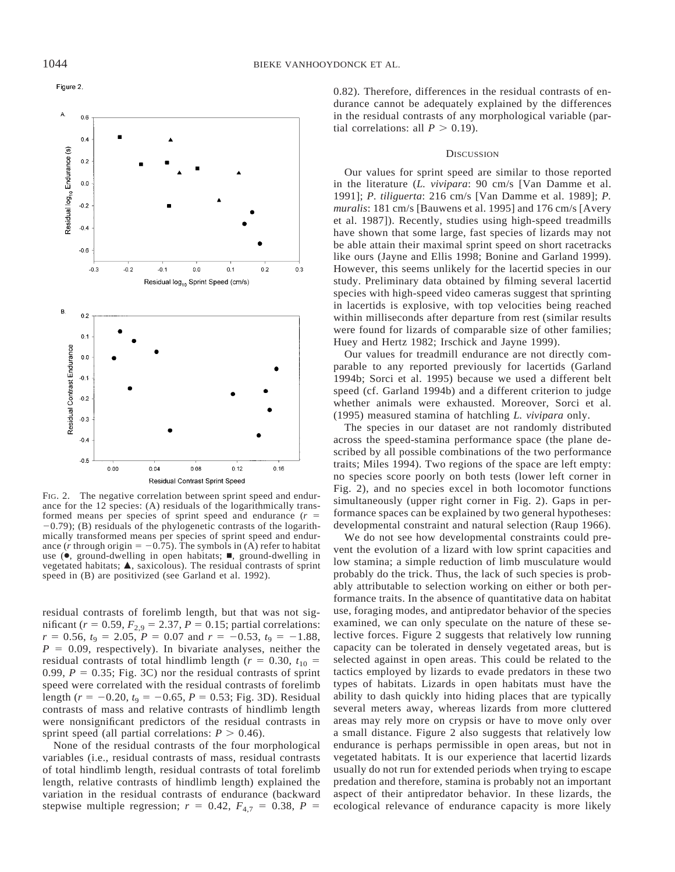Figure 2.



FIG. 2. The negative correlation between sprint speed and endurance for the 12 species: (A) residuals of the logarithmically transformed means per species of sprint speed and endurance  $(r =$  $-0.79$ ); (B) residuals of the phylogenetic contrasts of the logarithmically transformed means per species of sprint speed and endurance ( $r$  through origin =  $-0.75$ ). The symbols in (A) refer to habitat use  $(•, ground-dwelling in open habitats;  $■$ , ground-dwelling in$ vegetated habitats;  $\blacktriangle$ , saxicolous). The residual contrasts of sprint speed in (B) are positivized (see Garland et al. 1992).

residual contrasts of forelimb length, but that was not significant ( $r = 0.59$ ,  $F_{2,9} = 2.37$ ,  $P = 0.15$ ; partial correlations:  $r = 0.56$ ,  $t_9 = 2.05$ ,  $P = 0.07$  and  $r = -0.53$ ,  $t_9 = -1.88$ ,  $P = 0.09$ , respectively). In bivariate analyses, neither the residual contrasts of total hindlimb length ( $r = 0.30$ ,  $t_{10} =$ 0.99,  $P = 0.35$ ; Fig. 3C) nor the residual contrasts of sprint speed were correlated with the residual contrasts of forelimb length ( $r = -0.20$ ,  $t_9 = -0.65$ ,  $P = 0.53$ ; Fig. 3D). Residual contrasts of mass and relative contrasts of hindlimb length were nonsignificant predictors of the residual contrasts in sprint speed (all partial correlations:  $P > 0.46$ ).

None of the residual contrasts of the four morphological variables (i.e., residual contrasts of mass, residual contrasts of total hindlimb length, residual contrasts of total forelimb length, relative contrasts of hindlimb length) explained the variation in the residual contrasts of endurance (backward stepwise multiple regression;  $r = 0.42$ ,  $F_{4,7} = 0.38$ ,  $P =$ 

0.82). Therefore, differences in the residual contrasts of endurance cannot be adequately explained by the differences in the residual contrasts of any morphological variable (partial correlations: all  $P > 0.19$ ).

### **DISCUSSION**

Our values for sprint speed are similar to those reported in the literature (*L. vivipara*: 90 cm/s [Van Damme et al. 1991]; *P. tiliguerta*: 216 cm/s [Van Damme et al. 1989]; *P. muralis*: 181 cm/s [Bauwens et al. 1995] and 176 cm/s [Avery et al. 1987]). Recently, studies using high-speed treadmills have shown that some large, fast species of lizards may not be able attain their maximal sprint speed on short racetracks like ours (Jayne and Ellis 1998; Bonine and Garland 1999). However, this seems unlikely for the lacertid species in our study. Preliminary data obtained by filming several lacertid species with high-speed video cameras suggest that sprinting in lacertids is explosive, with top velocities being reached within milliseconds after departure from rest (similar results were found for lizards of comparable size of other families; Huey and Hertz 1982; Irschick and Jayne 1999).

Our values for treadmill endurance are not directly comparable to any reported previously for lacertids (Garland 1994b; Sorci et al. 1995) because we used a different belt speed (cf. Garland 1994b) and a different criterion to judge whether animals were exhausted. Moreover, Sorci et al. (1995) measured stamina of hatchling *L. vivipara* only.

The species in our dataset are not randomly distributed across the speed-stamina performance space (the plane described by all possible combinations of the two performance traits; Miles 1994). Two regions of the space are left empty: no species score poorly on both tests (lower left corner in Fig. 2), and no species excel in both locomotor functions simultaneously (upper right corner in Fig. 2). Gaps in performance spaces can be explained by two general hypotheses: developmental constraint and natural selection (Raup 1966).

We do not see how developmental constraints could prevent the evolution of a lizard with low sprint capacities and low stamina; a simple reduction of limb musculature would probably do the trick. Thus, the lack of such species is probably attributable to selection working on either or both performance traits. In the absence of quantitative data on habitat use, foraging modes, and antipredator behavior of the species examined, we can only speculate on the nature of these selective forces. Figure 2 suggests that relatively low running capacity can be tolerated in densely vegetated areas, but is selected against in open areas. This could be related to the tactics employed by lizards to evade predators in these two types of habitats. Lizards in open habitats must have the ability to dash quickly into hiding places that are typically several meters away, whereas lizards from more cluttered areas may rely more on crypsis or have to move only over a small distance. Figure 2 also suggests that relatively low endurance is perhaps permissible in open areas, but not in vegetated habitats. It is our experience that lacertid lizards usually do not run for extended periods when trying to escape predation and therefore, stamina is probably not an important aspect of their antipredator behavior. In these lizards, the ecological relevance of endurance capacity is more likely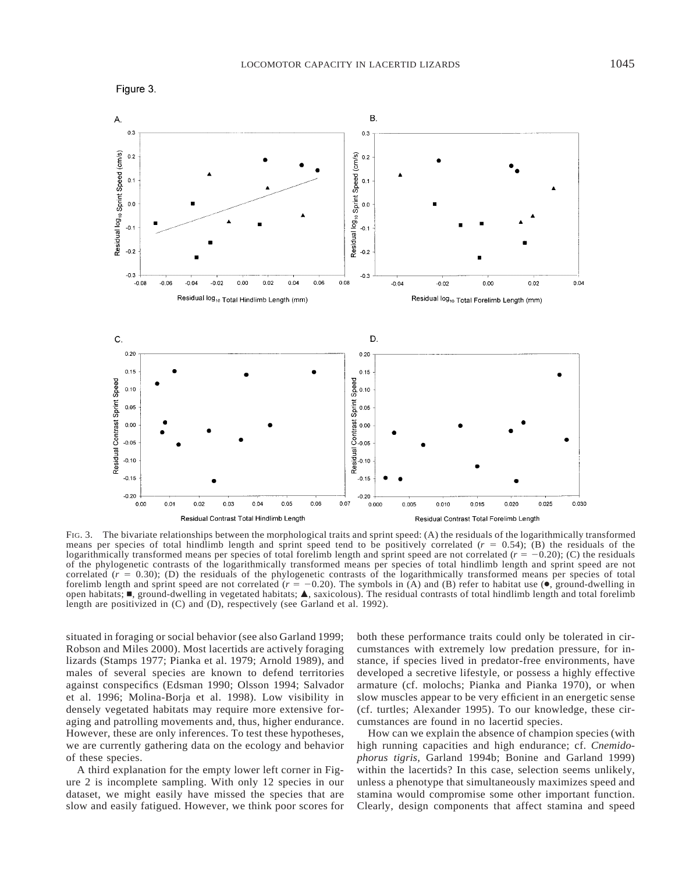



FIG. 3. The bivariate relationships between the morphological traits and sprint speed: (A) the residuals of the logarithmically transformed means per species of total hindlimb length and sprint speed tend to be positively correlated  $(r = 0.54)$ ; (B) the residuals of the logarithmically transformed means per species of total forelimb length and sprint speed are not correlated  $(r = -0.20)$ ; (C) the residuals of the phylogenetic contrasts of the logarithmically transformed means per species of total hindlimb length and sprint speed are not correlated  $(r = 0.30)$ ; (D) the residuals of the phylogenetic contrasts of the logarithmically transformed means per species of total forelimb length and sprint speed are not correlated ( $r = -0.20$ ). The symbols in (A) and (B) refer to habitat use ( $\bullet$ , ground-dwelling in open habitats;  $\blacksquare$ , ground-dwelling in vegetated habitats;  $\blacktriangle$ , saxicolous). The residual contrasts of total hindlimb length and total forelimb length are positivized in (C) and (D), respectively (see Garland et al. 1992).

situated in foraging or social behavior (see also Garland 1999; Robson and Miles 2000). Most lacertids are actively foraging lizards (Stamps 1977; Pianka et al. 1979; Arnold 1989), and males of several species are known to defend territories against conspecifics (Edsman 1990; Olsson 1994; Salvador et al. 1996; Molina-Borja et al. 1998). Low visibility in densely vegetated habitats may require more extensive foraging and patrolling movements and, thus, higher endurance. However, these are only inferences. To test these hypotheses, we are currently gathering data on the ecology and behavior of these species.

A third explanation for the empty lower left corner in Figure 2 is incomplete sampling. With only 12 species in our dataset, we might easily have missed the species that are slow and easily fatigued. However, we think poor scores for

both these performance traits could only be tolerated in circumstances with extremely low predation pressure, for instance, if species lived in predator-free environments, have developed a secretive lifestyle, or possess a highly effective armature (cf. molochs; Pianka and Pianka 1970), or when slow muscles appear to be very efficient in an energetic sense (cf. turtles; Alexander 1995). To our knowledge, these circumstances are found in no lacertid species.

How can we explain the absence of champion species (with high running capacities and high endurance; cf. *Cnemidophorus tigris,* Garland 1994b; Bonine and Garland 1999) within the lacertids? In this case, selection seems unlikely, unless a phenotype that simultaneously maximizes speed and stamina would compromise some other important function. Clearly, design components that affect stamina and speed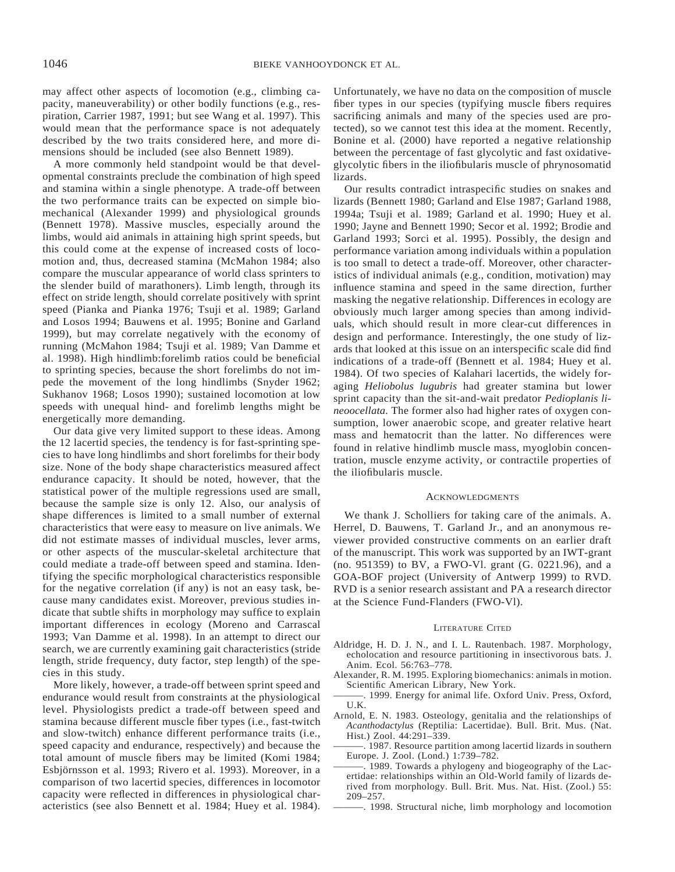may affect other aspects of locomotion (e.g., climbing capacity, maneuverability) or other bodily functions (e.g., respiration, Carrier 1987, 1991; but see Wang et al. 1997). This would mean that the performance space is not adequately described by the two traits considered here, and more dimensions should be included (see also Bennett 1989).

A more commonly held standpoint would be that developmental constraints preclude the combination of high speed and stamina within a single phenotype. A trade-off between the two performance traits can be expected on simple biomechanical (Alexander 1999) and physiological grounds (Bennett 1978). Massive muscles, especially around the limbs, would aid animals in attaining high sprint speeds, but this could come at the expense of increased costs of locomotion and, thus, decreased stamina (McMahon 1984; also compare the muscular appearance of world class sprinters to the slender build of marathoners). Limb length, through its effect on stride length, should correlate positively with sprint speed (Pianka and Pianka 1976; Tsuji et al. 1989; Garland and Losos 1994; Bauwens et al. 1995; Bonine and Garland 1999), but may correlate negatively with the economy of running (McMahon 1984; Tsuji et al. 1989; Van Damme et al. 1998). High hindlimb:forelimb ratios could be beneficial to sprinting species, because the short forelimbs do not impede the movement of the long hindlimbs (Snyder 1962; Sukhanov 1968; Losos 1990); sustained locomotion at low speeds with unequal hind- and forelimb lengths might be energetically more demanding.

Our data give very limited support to these ideas. Among the 12 lacertid species, the tendency is for fast-sprinting species to have long hindlimbs and short forelimbs for their body size. None of the body shape characteristics measured affect endurance capacity. It should be noted, however, that the statistical power of the multiple regressions used are small, because the sample size is only 12. Also, our analysis of shape differences is limited to a small number of external characteristics that were easy to measure on live animals. We did not estimate masses of individual muscles, lever arms, or other aspects of the muscular-skeletal architecture that could mediate a trade-off between speed and stamina. Identifying the specific morphological characteristics responsible for the negative correlation (if any) is not an easy task, because many candidates exist. Moreover, previous studies indicate that subtle shifts in morphology may suffice to explain important differences in ecology (Moreno and Carrascal 1993; Van Damme et al. 1998). In an attempt to direct our search, we are currently examining gait characteristics (stride length, stride frequency, duty factor, step length) of the species in this study.

More likely, however, a trade-off between sprint speed and endurance would result from constraints at the physiological level. Physiologists predict a trade-off between speed and stamina because different muscle fiber types (i.e., fast-twitch and slow-twitch) enhance different performance traits (i.e., speed capacity and endurance, respectively) and because the total amount of muscle fibers may be limited (Komi 1984; Esbjörnsson et al. 1993; Rivero et al. 1993). Moreover, in a comparison of two lacertid species, differences in locomotor capacity were reflected in differences in physiological characteristics (see also Bennett et al. 1984; Huey et al. 1984). Unfortunately, we have no data on the composition of muscle fiber types in our species (typifying muscle fibers requires sacrificing animals and many of the species used are protected), so we cannot test this idea at the moment. Recently, Bonine et al. (2000) have reported a negative relationship between the percentage of fast glycolytic and fast oxidativeglycolytic fibers in the iliofibularis muscle of phrynosomatid lizards.

Our results contradict intraspecific studies on snakes and lizards (Bennett 1980; Garland and Else 1987; Garland 1988, 1994a; Tsuji et al. 1989; Garland et al. 1990; Huey et al. 1990; Jayne and Bennett 1990; Secor et al. 1992; Brodie and Garland 1993; Sorci et al. 1995). Possibly, the design and performance variation among individuals within a population is too small to detect a trade-off. Moreover, other characteristics of individual animals (e.g., condition, motivation) may influence stamina and speed in the same direction, further masking the negative relationship. Differences in ecology are obviously much larger among species than among individuals, which should result in more clear-cut differences in design and performance. Interestingly, the one study of lizards that looked at this issue on an interspecific scale did find indications of a trade-off (Bennett et al. 1984; Huey et al. 1984). Of two species of Kalahari lacertids, the widely foraging *Heliobolus lugubris* had greater stamina but lower sprint capacity than the sit-and-wait predator *Pedioplanis lineoocellata.* The former also had higher rates of oxygen consumption, lower anaerobic scope, and greater relative heart mass and hematocrit than the latter. No differences were found in relative hindlimb muscle mass, myoglobin concentration, muscle enzyme activity, or contractile properties of the iliofibularis muscle.

## ACKNOWLEDGMENTS

We thank J. Scholliers for taking care of the animals. A. Herrel, D. Bauwens, T. Garland Jr., and an anonymous reviewer provided constructive comments on an earlier draft of the manuscript. This work was supported by an IWT-grant (no. 951359) to BV, a FWO-Vl. grant (G. 0221.96), and a GOA-BOF project (University of Antwerp 1999) to RVD. RVD is a senior research assistant and PA a research director at the Science Fund-Flanders (FWO-Vl).

#### LITERATURE CITED

- Aldridge, H. D. J. N., and I. L. Rautenbach. 1987. Morphology, echolocation and resource partitioning in insectivorous bats. J. Anim. Ecol. 56:763–778.
- Alexander, R. M. 1995. Exploring biomechanics: animals in motion. Scientific American Library, New York.
- -. 1999. Energy for animal life. Oxford Univ. Press, Oxford, U.K.
- Arnold, E. N. 1983. Osteology, genitalia and the relationships of *Acanthodactylus* (Reptilia: Lacertidae). Bull. Brit. Mus. (Nat. Hist.) Zool. 44:291–339.
- -. 1987. Resource partition among lacertid lizards in southern Europe. J. Zool. (Lond.) 1:739–782.
- . 1989. Towards a phylogeny and biogeography of the Lacertidae: relationships within an Old-World family of lizards derived from morphology. Bull. Brit. Mus. Nat. Hist. (Zool.) 55: 209–257.
- ———. 1998. Structural niche, limb morphology and locomotion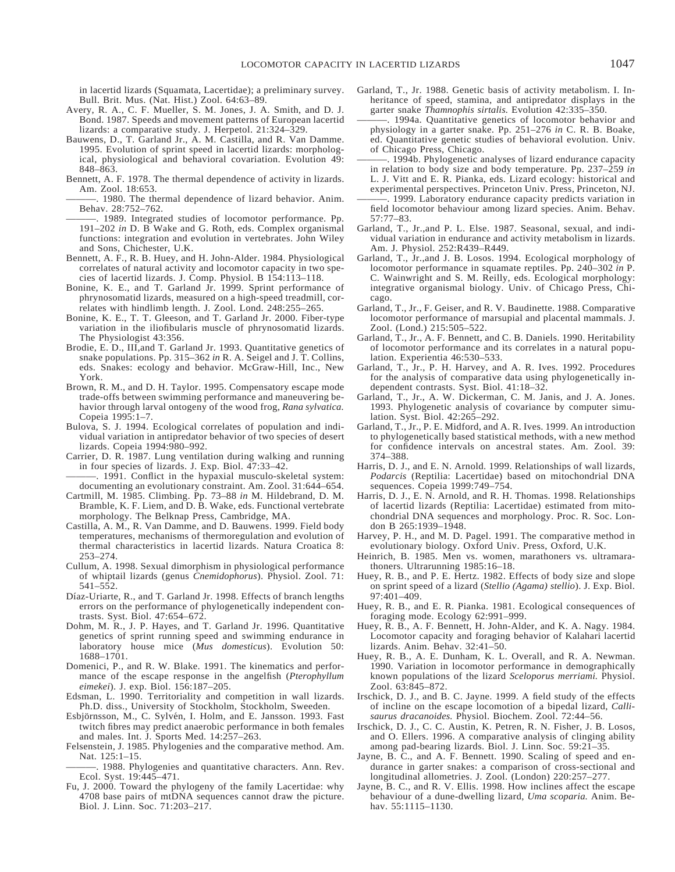in lacertid lizards (Squamata, Lacertidae); a preliminary survey. Bull. Brit. Mus. (Nat. Hist.) Zool. 64:63–89.

- Avery, R. A., C. F. Mueller, S. M. Jones, J. A. Smith, and D. J. Bond. 1987. Speeds and movement patterns of European lacertid lizards: a comparative study. J. Herpetol. 21:324–329.
- Bauwens, D., T. Garland Jr., A. M. Castilla, and R. Van Damme. 1995. Evolution of sprint speed in lacertid lizards: morphological, physiological and behavioral covariation. Evolution 49: 848–863.
- Bennett, A. F. 1978. The thermal dependence of activity in lizards. Am. Zool. 18:653.
- ———. 1980. The thermal dependence of lizard behavior. Anim. Behav. 28:752–762.
- . 1989. Integrated studies of locomotor performance. Pp. 191–202 *in* D. B Wake and G. Roth, eds. Complex organismal functions: integration and evolution in vertebrates. John Wiley and Sons, Chichester, U.K.
- Bennett, A. F., R. B. Huey, and H. John-Alder. 1984. Physiological correlates of natural activity and locomotor capacity in two species of lacertid lizards. J. Comp. Physiol. B 154:113–118.
- Bonine, K. E., and T. Garland Jr. 1999. Sprint performance of phrynosomatid lizards, measured on a high-speed treadmill, correlates with hindlimb length. J. Zool. Lond. 248:255–265.
- Bonine, K. E., T. T. Gleeson, and T. Garland Jr. 2000. Fiber-type variation in the iliofibularis muscle of phrynosomatid lizards. The Physiologist 43:356.
- Brodie, E. D., III,and T. Garland Jr. 1993. Quantitative genetics of snake populations. Pp. 315–362 *in* R. A. Seigel and J. T. Collins, eds. Snakes: ecology and behavior. McGraw-Hill, Inc., New York.
- Brown, R. M., and D. H. Taylor. 1995. Compensatory escape mode trade-offs between swimming performance and maneuvering behavior through larval ontogeny of the wood frog, *Rana sylvatica.* Copeia 1995:1–7.
- Bulova, S. J. 1994. Ecological correlates of population and individual variation in antipredator behavior of two species of desert lizards. Copeia 1994:980–992.
- Carrier, D. R. 1987. Lung ventilation during walking and running in four species of lizards. J. Exp. Biol. 47:33–42.
- ———. 1991. Conflict in the hypaxial musculo-skeletal system: documenting an evolutionary constraint. Am. Zool. 31:644–654.
- Cartmill, M. 1985. Climbing. Pp. 73–88 *in* M. Hildebrand, D. M. Bramble, K. F. Liem, and D. B. Wake, eds. Functional vertebrate morphology. The Belknap Press, Cambridge, MA.
- Castilla, A. M., R. Van Damme, and D. Bauwens. 1999. Field body temperatures, mechanisms of thermoregulation and evolution of thermal characteristics in lacertid lizards. Natura Croatica 8: 253–274.
- Cullum, A. 1998. Sexual dimorphism in physiological performance of whiptail lizards (genus *Cnemidophorus*). Physiol. Zool. 71: 541–552.
- Díaz-Uriarte, R., and T. Garland Jr. 1998. Effects of branch lengths errors on the performance of phylogenetically independent contrasts. Syst. Biol. 47:654–672.
- Dohm, M. R., J. P. Hayes, and T. Garland Jr. 1996. Quantitative genetics of sprint running speed and swimming endurance in laboratory house mice (*Mus domesticus*). Evolution 50: 1688–1701.
- Domenici, P., and R. W. Blake. 1991. The kinematics and performance of the escape response in the angelfish (*Pterophyllum eimekei*). J. exp. Biol. 156:187–205.
- Edsman, L. 1990. Territoriality and competition in wall lizards. Ph.D. diss., University of Stockholm, Stockholm, Sweeden.
- Esbjörnsson, M., C. Sylvén, I. Holm, and E. Jansson. 1993. Fast twitch fibres may predict anaerobic performance in both females and males. Int. J. Sports Med. 14:257–263.
- Felsenstein, J. 1985. Phylogenies and the comparative method. Am. Nat. 125:1–15.
- 1988. Phylogenies and quantitative characters. Ann. Rev. Ecol. Syst. 19:445–471.
- Fu, J. 2000. Toward the phylogeny of the family Lacertidae: why 4708 base pairs of mtDNA sequences cannot draw the picture. Biol. J. Linn. Soc. 71:203–217.
- Garland, T., Jr. 1988. Genetic basis of activity metabolism. I. Inheritance of speed, stamina, and antipredator displays in the garter snake *Thamnophis sirtalis.* Evolution 42:335–350.
- ———. 1994a. Quantitative genetics of locomotor behavior and physiology in a garter snake. Pp. 251–276 *in* C. R. B. Boake, ed. Quantitative genetic studies of behavioral evolution. Univ. of Chicago Press, Chicago.
- . 1994b. Phylogenetic analyses of lizard endurance capacity in relation to body size and body temperature. Pp. 237–259 *in* L. J. Vitt and E. R. Pianka, eds. Lizard ecology: historical and experimental perspectives. Princeton Univ. Press, Princeton, NJ.
- 1999. Laboratory endurance capacity predicts variation in field locomotor behaviour among lizard species. Anim. Behav. 57:77–83.
- Garland, T., Jr.,and P. L. Else. 1987. Seasonal, sexual, and individual variation in endurance and activity metabolism in lizards. Am. J. Physiol. 252:R439–R449.
- Garland, T., Jr.,and J. B. Losos. 1994. Ecological morphology of locomotor performance in squamate reptiles. Pp. 240–302 *in* P. C. Wainwright and S. M. Reilly, eds. Ecological morphology: integrative organismal biology. Univ. of Chicago Press, Chicago.
- Garland, T., Jr., F. Geiser, and R. V. Baudinette. 1988. Comparative locomotor performance of marsupial and placental mammals. J. Zool. (Lond.) 215:505–522.
- Garland, T., Jr., A. F. Bennett, and C. B. Daniels. 1990. Heritability of locomotor performance and its correlates in a natural population. Experientia 46:530–533.
- Garland, T., Jr., P. H. Harvey, and A. R. Ives. 1992. Procedures for the analysis of comparative data using phylogenetically independent contrasts. Syst. Biol. 41:18–32.
- Garland, T., Jr., A. W. Dickerman, C. M. Janis, and J. A. Jones. 1993. Phylogenetic analysis of covariance by computer simulation. Syst. Biol. 42:265–292.
- Garland, T., Jr., P. E. Midford, and A. R. Ives. 1999. An introduction to phylogenetically based statistical methods, with a new method for confidence intervals on ancestral states. Am. Zool. 39: 374–388.
- Harris, D. J., and E. N. Arnold. 1999. Relationships of wall lizards, *Podarcis* (Reptilia: Lacertidae) based on mitochondrial DNA sequences. Copeia 1999:749–754.
- Harris, D. J., E. N. Arnold, and R. H. Thomas. 1998. Relationships of lacertid lizards (Reptilia: Lacertidae) estimated from mitochondrial DNA sequences and morphology. Proc. R. Soc. London B 265:1939–1948.
- Harvey, P. H., and M. D. Pagel. 1991. The comparative method in evolutionary biology. Oxford Univ. Press, Oxford, U.K.
- Heinrich, B. 1985. Men vs. women, marathoners vs. ultramarathoners. Ultrarunning 1985:16–18.
- Huey, R. B., and P. E. Hertz. 1982. Effects of body size and slope on sprint speed of a lizard (*Stellio (Agama) stellio*). J. Exp. Biol. 97:401–409.
- Huey, R. B., and E. R. Pianka. 1981. Ecological consequences of foraging mode. Ecology 62:991–999.
- Huey, R. B., A. F. Bennett, H. John-Alder, and K. A. Nagy. 1984. Locomotor capacity and foraging behavior of Kalahari lacertid lizards. Anim. Behav. 32:41–50.
- Huey, R. B., A. E. Dunham, K. L. Overall, and R. A. Newman. 1990. Variation in locomotor performance in demographically known populations of the lizard *Sceloporus merriami.* Physiol. Zool. 63:845–872.
- Irschick, D. J., and B. C. Jayne. 1999. A field study of the effects of incline on the escape locomotion of a bipedal lizard, *Callisaurus dracanoides.* Physiol. Biochem. Zool. 72:44–56.
- Irschick, D. J., C. C. Austin, K. Petren, R. N. Fisher, J. B. Losos, and O. Ellers. 1996. A comparative analysis of clinging ability among pad-bearing lizards. Biol. J. Linn. Soc. 59:21–35.
- Jayne, B. C., and A. F. Bennett. 1990. Scaling of speed and endurance in garter snakes: a comparison of cross-sectional and longitudinal allometries. J. Zool. (London) 220:257–277.
- Jayne, B. C., and R. V. Ellis. 1998. How inclines affect the escape behaviour of a dune-dwelling lizard, *Uma scoparia.* Anim. Behav. 55:1115–1130.